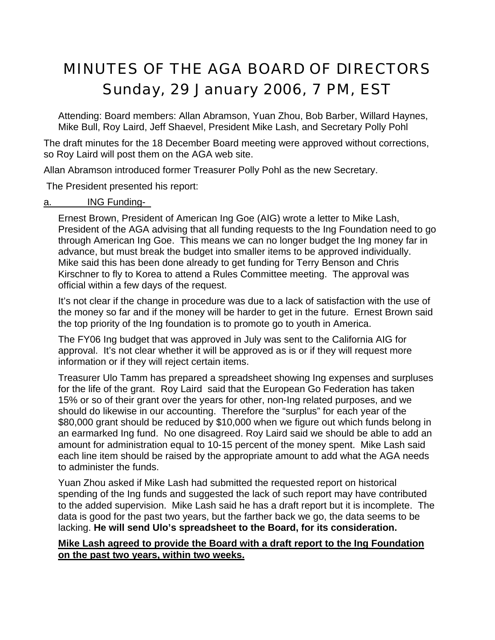# MINUTES OF THE AGA BOARD OF DIRECTORS Sunday, 29 January 2006, 7 PM, EST

Attending: Board members: Allan Abramson, Yuan Zhou, Bob Barber, Willard Haynes, Mike Bull, Roy Laird, Jeff Shaevel, President Mike Lash, and Secretary Polly Pohl

The draft minutes for the 18 December Board meeting were approved without corrections, so Roy Laird will post them on the AGA web site.

Allan Abramson introduced former Treasurer Polly Pohl as the new Secretary.

The President presented his report:

#### a. **ING Funding-**

Ernest Brown, President of American Ing Goe (AIG) wrote a letter to Mike Lash, President of the AGA advising that all funding requests to the Ing Foundation need to go through American Ing Goe. This means we can no longer budget the Ing money far in advance, but must break the budget into smaller items to be approved individually. Mike said this has been done already to get funding for Terry Benson and Chris Kirschner to fly to Korea to attend a Rules Committee meeting. The approval was official within a few days of the request.

It's not clear if the change in procedure was due to a lack of satisfaction with the use of the money so far and if the money will be harder to get in the future. Ernest Brown said the top priority of the Ing foundation is to promote go to youth in America.

The FY06 Ing budget that was approved in July was sent to the California AIG for approval. It's not clear whether it will be approved as is or if they will request more information or if they will reject certain items.

Treasurer Ulo Tamm has prepared a spreadsheet showing Ing expenses and surpluses for the life of the grant. Roy Laird said that the European Go Federation has taken 15% or so of their grant over the years for other, non-Ing related purposes, and we should do likewise in our accounting. Therefore the "surplus" for each year of the \$80,000 grant should be reduced by \$10,000 when we figure out which funds belong in an earmarked Ing fund. No one disagreed. Roy Laird said we should be able to add an amount for administration equal to 10-15 percent of the money spent. Mike Lash said each line item should be raised by the appropriate amount to add what the AGA needs to administer the funds.

Yuan Zhou asked if Mike Lash had submitted the requested report on historical spending of the Ing funds and suggested the lack of such report may have contributed to the added supervision. Mike Lash said he has a draft report but it is incomplete. The data is good for the past two years, but the farther back we go, the data seems to be lacking. **He will send Ulo's spreadsheet to the Board, for its consideration.**

#### **Mike Lash agreed to provide the Board with a draft report to the Ing Foundation on the past two years, within two weeks.**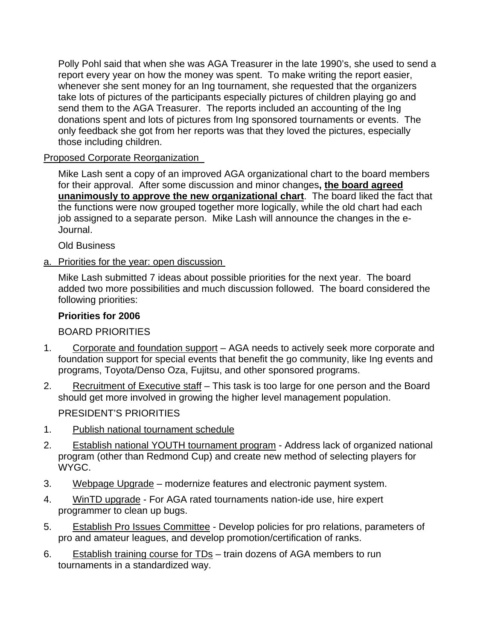Polly Pohl said that when she was AGA Treasurer in the late 1990's, she used to send a report every year on how the money was spent. To make writing the report easier, whenever she sent money for an Ing tournament, she requested that the organizers take lots of pictures of the participants especially pictures of children playing go and send them to the AGA Treasurer. The reports included an accounting of the Ing donations spent and lots of pictures from Ing sponsored tournaments or events. The only feedback she got from her reports was that they loved the pictures, especially those including children.

## Proposed Corporate Reorganization

Mike Lash sent a copy of an improved AGA organizational chart to the board members for their approval. After some discussion and minor changes**, the board agreed unanimously to approve the new organizational chart**. The board liked the fact that the functions were now grouped together more logically, while the old chart had each job assigned to a separate person. Mike Lash will announce the changes in the e-Journal.

Old Business

a. Priorities for the year: open discussion

Mike Lash submitted 7 ideas about possible priorities for the next year. The board added two more possibilities and much discussion followed. The board considered the following priorities:

#### **Priorities for 2006**

#### BOARD PRIORITIES

- 1. Corporate and foundation support AGA needs to actively seek more corporate and foundation support for special events that benefit the go community, like Ing events and programs, Toyota/Denso Oza, Fujitsu, and other sponsored programs.
- 2. Recruitment of Executive staff This task is too large for one person and the Board should get more involved in growing the higher level management population.

PRESIDENT'S PRIORITIES

- 1. Publish national tournament schedule
- 2. Establish national YOUTH tournament program Address lack of organized national program (other than Redmond Cup) and create new method of selecting players for WYGC.
- 3. Webpage Upgrade modernize features and electronic payment system.
- 4. WinTD upgrade For AGA rated tournaments nation-ide use, hire expert programmer to clean up bugs.
- 5. Establish Pro Issues Committee Develop policies for pro relations, parameters of pro and amateur leagues, and develop promotion/certification of ranks.
- 6. Establish training course for TDs train dozens of AGA members to run tournaments in a standardized way.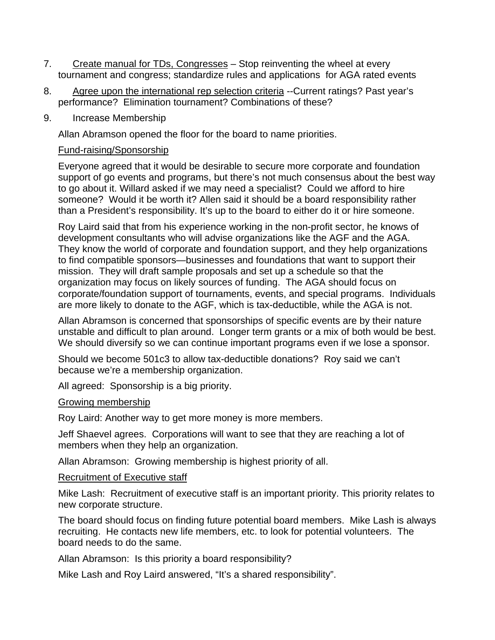- 7. Create manual for TDs, Congresses Stop reinventing the wheel at every tournament and congress; standardize rules and applications for AGA rated events
- 8. Agree upon the international rep selection criteria --Current ratings? Past year's performance? Elimination tournament? Combinations of these?
- 9. Increase Membership

Allan Abramson opened the floor for the board to name priorities.

## Fund-raising/Sponsorship

Everyone agreed that it would be desirable to secure more corporate and foundation support of go events and programs, but there's not much consensus about the best way to go about it. Willard asked if we may need a specialist? Could we afford to hire someone? Would it be worth it? Allen said it should be a board responsibility rather than a President's responsibility. It's up to the board to either do it or hire someone.

Roy Laird said that from his experience working in the non-profit sector, he knows of development consultants who will advise organizations like the AGF and the AGA. They know the world of corporate and foundation support, and they help organizations to find compatible sponsors—businesses and foundations that want to support their mission. They will draft sample proposals and set up a schedule so that the organization may focus on likely sources of funding. The AGA should focus on corporate/foundation support of tournaments, events, and special programs. Individuals are more likely to donate to the AGF, which is tax-deductible, while the AGA is not.

Allan Abramson is concerned that sponsorships of specific events are by their nature unstable and difficult to plan around. Longer term grants or a mix of both would be best. We should diversify so we can continue important programs even if we lose a sponsor.

Should we become 501c3 to allow tax-deductible donations? Roy said we can't because we're a membership organization.

All agreed: Sponsorship is a big priority.

#### Growing membership

Roy Laird: Another way to get more money is more members.

Jeff Shaevel agrees. Corporations will want to see that they are reaching a lot of members when they help an organization.

Allan Abramson: Growing membership is highest priority of all.

#### Recruitment of Executive staff

Mike Lash: Recruitment of executive staff is an important priority. This priority relates to new corporate structure.

The board should focus on finding future potential board members. Mike Lash is always recruiting. He contacts new life members, etc. to look for potential volunteers. The board needs to do the same.

Allan Abramson: Is this priority a board responsibility?

Mike Lash and Roy Laird answered, "It's a shared responsibility".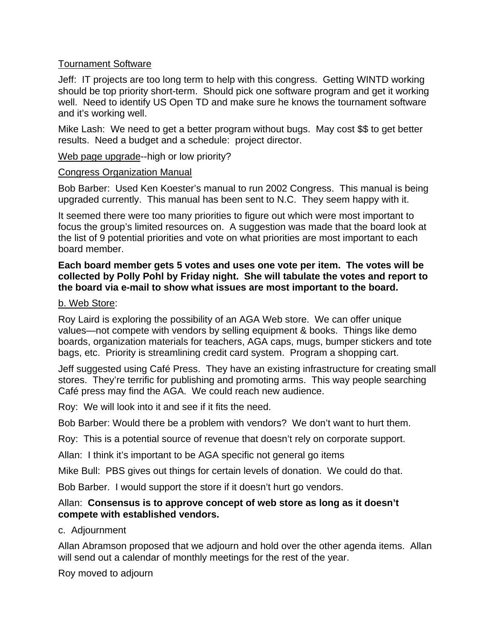#### Tournament Software

Jeff: IT projects are too long term to help with this congress. Getting WINTD working should be top priority short-term. Should pick one software program and get it working well. Need to identify US Open TD and make sure he knows the tournament software and it's working well.

Mike Lash: We need to get a better program without bugs. May cost \$\$ to get better results. Need a budget and a schedule: project director.

Web page upgrade--high or low priority?

#### Congress Organization Manual

Bob Barber: Used Ken Koester's manual to run 2002 Congress. This manual is being upgraded currently. This manual has been sent to N.C. They seem happy with it.

It seemed there were too many priorities to figure out which were most important to focus the group's limited resources on. A suggestion was made that the board look at the list of 9 potential priorities and vote on what priorities are most important to each board member.

#### **Each board member gets 5 votes and uses one vote per item. The votes will be collected by Polly Pohl by Friday night. She will tabulate the votes and report to the board via e-mail to show what issues are most important to the board.**

## b. Web Store:

Roy Laird is exploring the possibility of an AGA Web store. We can offer unique values—not compete with vendors by selling equipment & books. Things like demo boards, organization materials for teachers, AGA caps, mugs, bumper stickers and tote bags, etc. Priority is streamlining credit card system. Program a shopping cart.

Jeff suggested using Café Press. They have an existing infrastructure for creating small stores. They're terrific for publishing and promoting arms. This way people searching Café press may find the AGA. We could reach new audience.

Roy: We will look into it and see if it fits the need.

Bob Barber: Would there be a problem with vendors? We don't want to hurt them.

Roy: This is a potential source of revenue that doesn't rely on corporate support.

Allan: I think it's important to be AGA specific not general go items

Mike Bull: PBS gives out things for certain levels of donation. We could do that.

Bob Barber. I would support the store if it doesn't hurt go vendors.

#### Allan: **Consensus is to approve concept of web store as long as it doesn't compete with established vendors.**

# c. Adjournment

Allan Abramson proposed that we adjourn and hold over the other agenda items. Allan will send out a calendar of monthly meetings for the rest of the year.

Roy moved to adjourn